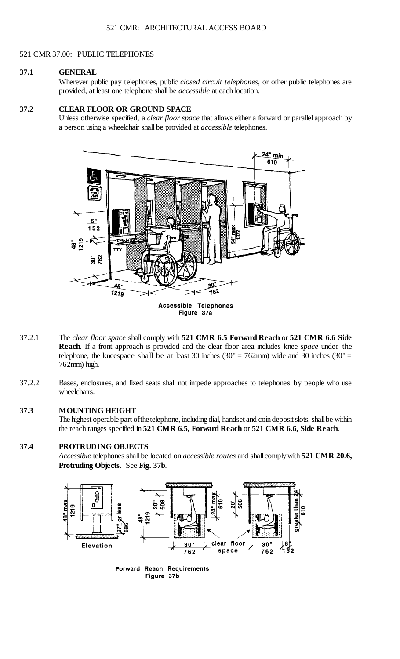#### 521 CMR 37.00: PUBLIC TELEPHONES

#### **37.1 GENERAL**

Wherever public pay telephones, public *closed circuit telephones*, or other public telephones are provided, at least one telephone shall be *accessible* at each location.

## **37.2 CLEAR FLOOR OR GROUND SPACE**

Unless otherwise specified, a *clear floor space* that allows either a forward or parallel approach by a person using a wheelchair shall be provided at *accessible* telephones.



- telephone, the kneespace shall be at least 30 inches  $(30'' = 762 \text{mm})$  wide and 30 inches  $(30'' =$ 37.2.1 The *clear floor space* shall comply with **521 CMR 6.5 Forward Reach** or **521 CMR 6.6 Side Reach**. If a front approach is provided and the clear floor area includes knee *space* under the 762mm) high.
- 37.2.2 Bases, enclosures, and fixed seats shall not impede approaches to telephones by people who use wheelchairs.

# **37.3 MOUNTING HEIGHT**

The highest operable part of the telephone, including dial, handset and coin deposit slots, shall be within the reach ranges specified in **521 CMR 6.5, Forward Reach** or **521 CMR 6.6, Side Reach**.

# **37.4 PROTRUDING OBJECTS**

 *Accessible* telephones shall be located on *accessible routes* and shallcomplywith **521 CMR 20.6, Protruding Objects**. See **Fig. 37b**.



**Forward Reach Requirements** Figure 37b